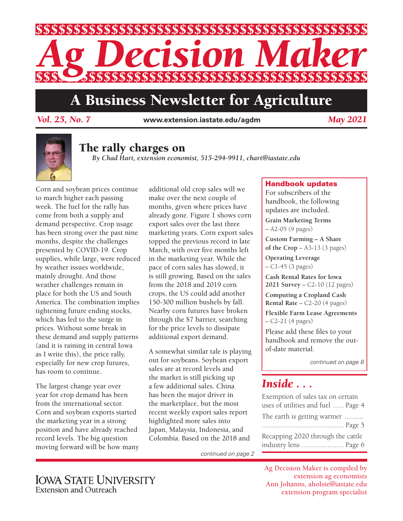

# A Business Newsletter for Agriculture

**www.extension.iastate.edu/agdm** *Vol. 25, No. 7 May 2021*



# The rally charges on

*By Chad Hart, extension economist, 515-294-9911, chart@iastate.edu*

Corn and soybean prices continue to march higher each passing week. The fuel for the rally has come from both a supply and demand perspective. Crop usage has been strong over the past nine months, despite the challenges presented by COVID-19. Crop supplies, while large, were reduced by weather issues worldwide, mainly drought. And those weather challenges remain in place for both the US and South America. The combination implies tightening future ending stocks, which has led to the surge in prices. Without some break in these demand and supply patterns (and it is raining in central Iowa as I write this), the price rally, especially for new crop futures, has room to continue.

The largest change year over year for crop demand has been from the international sector. Corn and soybean exports started the marketing year in a strong position and have already reached record levels. The big question moving forward will be how many additional old crop sales will we make over the next couple of months, given where prices have already gone. Figure 1 shows corn export sales over the last three marketing years. Corn export sales topped the previous record in late March, with over five months left in the marketing year. While the pace of corn sales has slowed, it is still growing. Based on the sales from the 2018 and 2019 corn crops, the US could add another 150-300 million bushels by fall. Nearby corn futures have broken through the \$7 barrier, searching for the price levels to dissipate additional export demand.

A somewhat similar tale is playing out for soybeans. Soybean export sales are at record levels and the market is still picking up a few additional sales. China has been the major driver in the marketplace, but the most recent weekly export sales report highlighted more sales into Japan, Malaysia, Indonesia, and Colombia. Based on the 2018 and

*continued on page 2*

### Handbook updates

For subscribers of the handbook, the following updates are included.

**Grain Marketing Terms**  – A2-05 (9 pages)

**Custom Farming – A Share of the Crop** – A3-13 (3 pages)

**Operating Leverage**  – C1-45 (3 pages)

**Cash Rental Rates for Iowa 2021 Survey** – C2-10 (12 pages)

**Computing a Cropland Cash Rental Rate** – C2-20 (4 pages)

**Flexible Farm Lease Agreements** – C2-21 (4 pages)

Please add these files to your handbook and remove the outof-date material.

*continued on page 8*

# *Inside . . .*

Exemption of sales tax on certain uses of utilities and fuel ...... Page 4 The earth is getting warmer .......... ............................................ Page 5 Recapping 2020 through the cattle industry lens ....................... Page 6

Ag Decision Maker is compiled by extension ag economists Ann Johanns, aholste@iastate.edu extension program specialist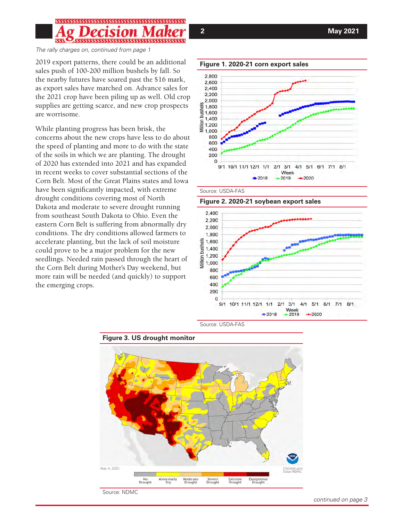*The rally charges on, continued from page 1*

2019 export patterns, there could be an additional sales push of 100-200 million bushels by fall. So the nearby futures have soared past the \$16 mark, as export sales have marched on. Advance sales for the 2021 crop have been piling up as well. Old crop supplies are getting scarce, and new crop prospects are worrisome.

While planting progress has been brisk, the concerns about the new crops have less to do about the speed of planting and more to do with the state of the soils in which we are planting. The drought of 2020 has extended into 2021 and has expanded in recent weeks to cover substantial sections of the Corn Belt. Most of the Great Plains states and Iowa have been significantly impacted, with extreme drought conditions covering most of North Dakota and moderate to severe drought running from southeast South Dakota to Ohio. Even the eastern Corn Belt is suffering from abnormally dry conditions. The dry conditions allowed farmers to accelerate planting, but the lack of soil moisture could prove to be a major problem for the new seedlings. Needed rain passed through the heart of the Corn Belt during Mother's Day weekend, but more rain will be needed (and quickly) to support the emerging crops.





Source: USDA-FAS









*continued on page 3*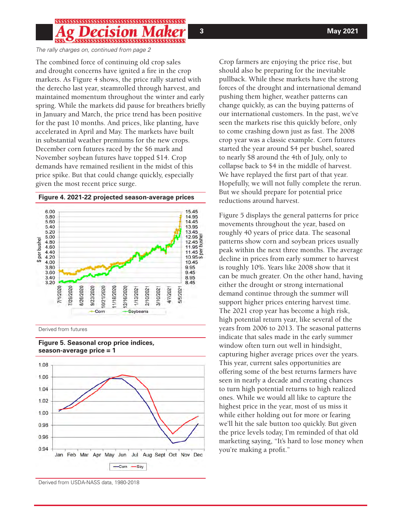*The rally charges on, continued from page 2*

The combined force of continuing old crop sales and drought concerns have ignited a fire in the crop markets. As Figure 4 shows, the price rally started with the derecho last year, steamrolled through harvest, and maintained momentum throughout the winter and early spring. While the markets did pause for breathers briefly in January and March, the price trend has been positive for the past 10 months. And prices, like planting, have accelerated in April and May. The markets have built in substantial weather premiums for the new crops. December corn futures raced by the \$6 mark and November soybean futures have topped \$14. Crop demands have remained resilient in the midst of this price spike. But that could change quickly, especially given the most recent price surge.



Derived from futures



**Figure 5. Seasonal crop price indices, season-average price = 1**

Crop farmers are enjoying the price rise, but should also be preparing for the inevitable pullback. While these markets have the strong forces of the drought and international demand pushing them higher, weather patterns can change quickly, as can the buying patterns of our international customers. In the past, we've seen the markets rise this quickly before, only to come crashing down just as fast. The 2008 crop year was a classic example. Corn futures started the year around \$4 per bushel, soared to nearly \$8 around the 4th of July, only to collapse back to \$4 in the middle of harvest. We have replayed the first part of that year. Hopefully, we will not fully complete the rerun. But we should prepare for potential price reductions around harvest.

Figure 5 displays the general patterns for price movements throughout the year, based on roughly 40 years of price data. The seasonal patterns show corn and soybean prices usually peak within the next three months. The average decline in prices from early summer to harvest is roughly 10%. Years like 2008 show that it can be much greater. On the other hand, having either the drought or strong international demand continue through the summer will support higher prices entering harvest time. The 2021 crop year has become a high risk, high potential return year, like several of the years from 2006 to 2013. The seasonal patterns indicate that sales made in the early summer window often turn out well in hindsight, capturing higher average prices over the years. This year, current sales opportunities are offering some of the best returns farmers have seen in nearly a decade and creating chances to turn high potential returns to high realized ones. While we would all like to capture the highest price in the year, most of us miss it while either holding out for more or fearing we'll hit the sale button too quickly. But given the price levels today, I'm reminded of that old marketing saying, "It's hard to lose money when you're making a profit."

Derived from USDA-NASS data, 1980-2018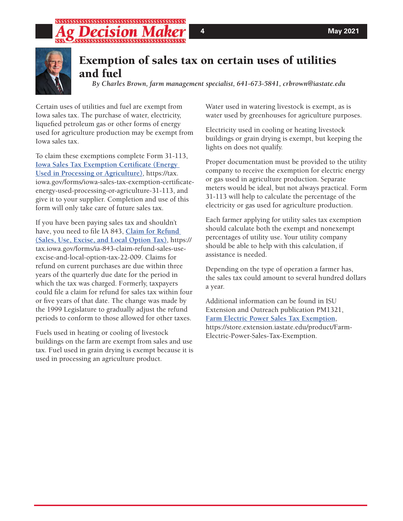

# Exemption of sales tax on certain uses of utilities and fuel

*By Charles Brown, farm management specialist, 641-673-5841, crbrown@iastate.edu*

Certain uses of utilities and fuel are exempt from Iowa sales tax. The purchase of water, electricity, liquefied petroleum gas or other forms of energy used for agriculture production may be exempt from Iowa sales tax.

To claim these exemptions complete Form 31-113, **[Iowa Sales Tax Exemption Certificate \(Energy](https://tax.iowa.gov/forms/iowa-sales-tax-exemption-certificate-energy-used-processing-or-agriculture-31-113)  [Used in Processing or Agriculture](https://tax.iowa.gov/forms/iowa-sales-tax-exemption-certificate-energy-used-processing-or-agriculture-31-113))**, https://tax. iowa.gov/forms/iowa-sales-tax-exemption-certificateenergy-used-processing-or-agriculture-31-113, and give it to your supplier. Completion and use of this form will only take care of future sales tax.

If you have been paying sales tax and shouldn't have, you need to file IA 843, **[Claim for Refund](https://tax.iowa.gov/forms/ia-843-claim-refund-sales-use-excise-and-local-option-tax-22-009)  [\(Sales, Use, Excise, and Local Option Tax\)](https://tax.iowa.gov/forms/ia-843-claim-refund-sales-use-excise-and-local-option-tax-22-009)**, https:// tax.iowa.gov/forms/ia-843-claim-refund-sales-useexcise-and-local-option-tax-22-009. Claims for refund on current purchases are due within three years of the quarterly due date for the period in which the tax was charged. Formerly, taxpayers could file a claim for refund for sales tax within four or five years of that date. The change was made by the 1999 Legislature to gradually adjust the refund periods to conform to those allowed for other taxes.

Fuels used in heating or cooling of livestock buildings on the farm are exempt from sales and use tax. Fuel used in grain drying is exempt because it is used in processing an agriculture product.

Water used in watering livestock is exempt, as is water used by greenhouses for agriculture purposes.

Electricity used in cooling or heating livestock buildings or grain drying is exempt, but keeping the lights on does not qualify.

Proper documentation must be provided to the utility company to receive the exemption for electric energy or gas used in agriculture production. Separate meters would be ideal, but not always practical. Form 31-113 will help to calculate the percentage of the electricity or gas used for agriculture production.

Each farmer applying for utility sales tax exemption should calculate both the exempt and nonexempt percentages of utility use. Your utility company should be able to help with this calculation, if assistance is needed.

Depending on the type of operation a farmer has, the sales tax could amount to several hundred dollars a year.

Additional information can be found in ISU Extension and Outreach publication PM1321, **[Farm Electric Power Sales Tax Exemption](https://store.extension.iastate.edu/product/Farm-Electric-Power-Sales-Tax-Exemption )**, https://store.extension.iastate.edu/product/Farm-Electric-Power-Sales-Tax-Exemption.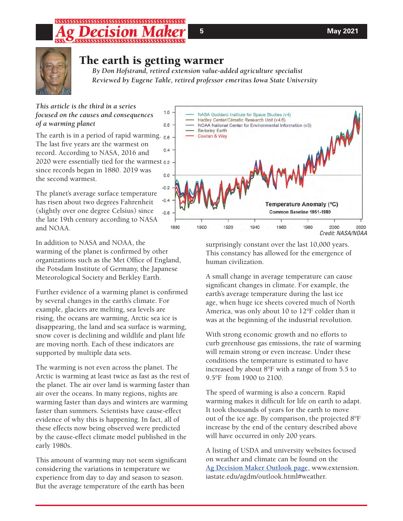

## The earth is getting warmer

*By Don Hofstrand, retired extension value-added agriculture specialist Reviewed by Eugene Takle, retired professor emeritus Iowa State University*

*This article is the third in a series focused on the causes and consequences of a warming planet* 

The earth is in a period of rapid warming. 0.6 The last five years are the warmest on  $0.4$ record. According to NASA, 2016 and 2020 were essentially tied for the warmest since records began in 1880. 2019 was  $0.0$ the second warmest.

The planet's average surface temperature has risen about two degrees Fahrenheit (slightly over one degree Celsius) since the late 19th century according to NASA and NOAA.

In addition to NASA and NOAA, the warming of the planet is confirmed by other organizations such as the Met Office of England, the Potsdam Institute of Germany, the Japanese Meteorological Society and Berkley Earth.

Further evidence of a warming planet is confirmed by several changes in the earth's climate. For example, glaciers are melting, sea levels are rising, the oceans are warming, Arctic sea ice is disappearing, the land and sea surface is warming, snow cover is declining and wildlife and plant life are moving north. Each of these indicators are supported by multiple data sets.

The warming is not even across the planet. The Arctic is warming at least twice as fast as the rest of the planet. The air over land is warming faster than air over the oceans. In many regions, nights are warming faster than days and winters are warming faster than summers. Scientists have cause-effect evidence of why this is happening. In fact, all of these effects now being observed were predicted by the cause-effect climate model published in the early 1980s.

This amount of warming may not seem significant considering the variations in temperature we experience from day to day and season to season. But the average temperature of the earth has been



surprisingly constant over the last 10,000 years. This constancy has allowed for the emergence of human civilization.

A small change in average temperature can cause significant changes in climate. For example, the earth's average temperature during the last ice age, when huge ice sheets covered much of North America, was only about 10 to 12°F colder than it was at the beginning of the industrial revolution.

With strong economic growth and no efforts to curb greenhouse gas emissions, the rate of warming will remain strong or even increase. Under these conditions the temperature is estimated to have increased by about 8°F with a range of from 5.5 to 9.5°F from 1900 to 2100.

The speed of warming is also a concern. Rapid warming makes it difficult for life on earth to adapt. It took thousands of years for the earth to move out of the ice age. By comparison, the projected 8°F increase by the end of the century described above will have occurred in only 200 years.

A listing of USDA and university websites focused on weather and climate can be found on the **[Ag Decision Maker Outlook page](https://www.extension.iastate.edu/agdm/outlook.html#weather)**, www.extension. iastate.edu/agdm/outlook.html#weather.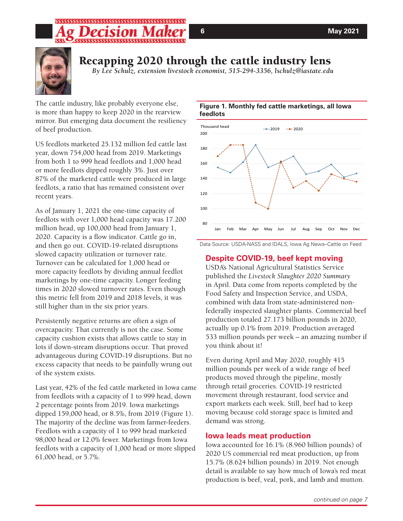# Recapping 2020 through the cattle industry lens

*By Lee Schulz, extension livestock economist, 515-294-3356, lschulz@iastate.edu*

The cattle industry, like probably everyone else, is more than happy to keep 2020 in the rearview mirror. But emerging data document the resiliency of beef production.

US feedlots marketed 25.132 million fed cattle last year, down 754,000 head from 2019. Marketings from both 1 to 999 head feedlots and 1,000 head or more feedlots dipped roughly 3%. Just over 87% of the marketed cattle were produced in large feedlots, a ratio that has remained consistent over recent years.

As of January 1, 2021 the one-time capacity of feedlots with over 1,000 head capacity was 17.200 million head, up 100,000 head from January 1, 2020. Capacity is a flow indicator. Cattle go in, and then go out. COVID-19-related disruptions slowed capacity utilization or turnover rate. Turnover can be calculated for 1,000 head or more capacity feedlots by dividing annual feedlot marketings by one-time capacity. Longer feeding times in 2020 slowed turnover rates. Even though this metric fell from 2019 and 2018 levels, it was still higher than in the six prior years.

Persistently negative returns are often a sign of overcapacity. That currently is not the case. Some capacity cushion exists that allows cattle to stay in lots if down-stream disruptions occur. That proved advantageous during COVID-19 disruptions. But no excess capacity that needs to be painfully wrung out of the system exists.

Last year, 42% of the fed cattle marketed in Iowa came from feedlots with a capacity of 1 to 999 head, down 2 percentage points from 2019. Iowa marketings dipped 159,000 head, or 8.5%, from 2019 (Figure 1). The majority of the decline was from farmer-feeders. Feedlots with a capacity of 1 to 999 head marketed 98,000 head or 12.0% fewer. Marketings from Iowa feedlots with a capacity of 1,000 head or more slipped 61,000 head, or 5.7%.

### **Figure 1. Monthly fed cattle marketings, all Iowa feedlots**



Data Source: USDA-NASS and IDALS, Iowa Ag News–Cattle on Feed

### **Despite COVID-19, beef kept moving**

USDA's National Agricultural Statistics Service published the *Livestock Slaughter 2020 Summary* in April. Data come from reports completed by the Food Safety and Inspection Service, and USDA, combined with data from state-administered nonfederally inspected slaughter plants. Commercial beef production totaled 27.173 billion pounds in 2020, actually up 0.1% from 2019. Production averaged 533 million pounds per week – an amazing number if you think about it!

Even during April and May 2020, roughly 415 million pounds per week of a wide range of beef products moved through the pipeline, mostly through retail groceries. COVID-19 restricted movement through restaurant, food service and export markets each week. Still, beef had to keep moving because cold storage space is limited and demand was strong.

### **Iowa leads meat production**

Iowa accounted for 16.1% (8.960 billion pounds) of 2020 US commercial red meat production, up from 15.7% (8.624 billion pounds) in 2019. Not enough detail is available to say how much of Iowa's red meat production is beef, veal, pork, and lamb and mutton.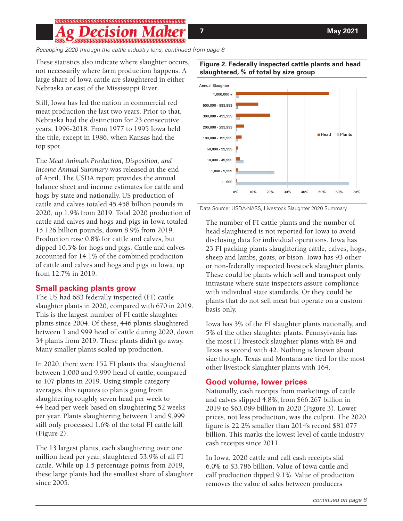# 

*Recapping 2020 through the cattle industry lens, continued from page 6*

These statistics also indicate where slaughter occurs, not necessarily where farm production happens. A large share of Iowa cattle are slaughtered in either Nebraska or east of the Mississippi River.

Still, Iowa has led the nation in commercial red meat production the last two years. Prior to that, Nebraska had the distinction for 23 consecutive years, 1996-2018. From 1977 to 1995 Iowa held the title, except in 1986, when Kansas had the top spot.

The *Meat Animals Production, Disposition, and Income Annual Summary* was released at the end of April. The USDA report provides the annual balance sheet and income estimates for cattle and hogs by state and nationally. US production of cattle and calves totaled 45.458 billion pounds in 2020, up 1.9% from 2019. Total 2020 production of cattle and calves and hogs and pigs in Iowa totaled 15.126 billion pounds, down 8.9% from 2019. Production rose 0.8% for cattle and calves, but dipped 10.3% for hogs and pigs. Cattle and calves accounted for 14.1% of the combined production of cattle and calves and hogs and pigs in Iowa, up from 12.7% in 2019.

### **Small packing plants grow**

The US had 683 federally inspected (FI) cattle slaughter plants in 2020, compared with 670 in 2019. This is the largest number of FI cattle slaughter plants since 2004. Of these, 446 plants slaughtered between 1 and 999 head of cattle during 2020, down 34 plants from 2019. These plants didn't go away. Many smaller plants scaled up production.

In 2020, there were 152 FI plants that slaughtered between 1,000 and 9,999 head of cattle, compared to 107 plants in 2019. Using simple category averages, this equates to plants going from slaughtering roughly seven head per week to 44 head per week based on slaughtering 52 weeks per year. Plants slaughtering between 1 and 9,999 still only processed 1.6% of the total FI cattle kill (Figure 2).

The 13 largest plants, each slaughtering over one million head per year, slaughtered 53.9% of all FI cattle. While up 1.5 percentage points from 2019, these large plants had the smallest share of slaughter since 2005.



### **Figure 2. Federally inspected cattle plants and head slaughtered, % of total by size group**

Data Source: USDA-NASS, Livestock Slaughter 2020 Summary

The number of FI cattle plants and the number of head slaughtered is not reported for Iowa to avoid disclosing data for individual operations. Iowa has 23 FI packing plants slaughtering cattle, calves, hogs, sheep and lambs, goats, or bison. Iowa has 93 other or non-federally inspected livestock slaughter plants. These could be plants which sell and transport only intrastate where state inspectors assure compliance with individual state standards. Or they could be plants that do not sell meat but operate on a custom basis only.

Iowa has 3% of the FI slaughter plants nationally, and 5% of the other slaughter plants. Pennsylvania has the most FI livestock slaughter plants with 84 and Texas is second with 42. Nothing is known about size though. Texas and Montana are tied for the most other livestock slaughter plants with 164.

### **Good volume, lower prices**

Nationally, cash receipts from marketings of cattle and calves slipped 4.8%, from \$66.267 billion in 2019 to \$63.089 billion in 2020 (Figure 3). Lower prices, not less production, was the culprit. The 2020 figure is 22.2% smaller than 2014's record \$81.077 billion. This marks the lowest level of cattle industry cash receipts since 2011.

In Iowa, 2020 cattle and calf cash receipts slid 6.0% to \$3.786 billion. Value of Iowa cattle and calf production dipped 9.1%. Value of production removes the value of sales between producers